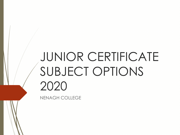# JUNIOR CERTIFICATE SUBJECT OPTIONS 2020

NENAGH COLLEGE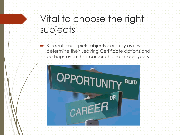## Vital to choose the right subjects

 Students must pick subjects carefully as it will determine their Leaving Certificate options and perhaps even their career choice in later years.

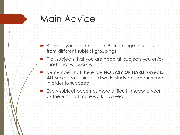#### Main Advice

- **Keep all your options open. Pick a range of subjects** from different subject groupings.
- **Pick subjects that you are good at, subjects you enjoy** most and will work well in.
- Remember that there are **NO EASY OR HARD** subjects-**ALL** subjects require hard work, study and commitment in order to succeed.
- Every subject becomes more difficult in second yearas there is a lot more work involved.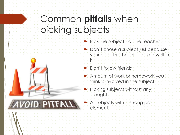## Common **pitfalls** when picking subjects



- Pick the subject not the teacher
	- Don't chose a subject just because your older brother or sister did well in it.
- Don't follow friends
- Amount of work or homework you think is involved in the subject.
	- Picking subjects without any thought
	- All subjects with a strong project element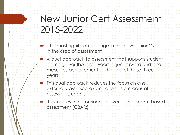### New Junior Cert Assessment 2015-2022

- The most significant change in the new Junior Cycle is in the area of assessment
- $\blacktriangleright$  A dual approach to assessment that supports student learning over the three years of junior cycle and also measures achievement at the end of those three years.
- **This dual approach reduces the focus on one** externally assessed examination as a means of assessing students
- $\blacksquare$  It increases the prominence given to classroom-based assessment (CBA's)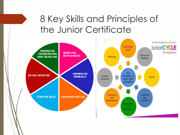## 8 Key Skills and Principles of the Junior Certificate

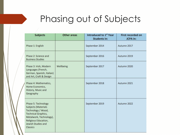## Phasing out of Subjects

| <b>Subjects</b>                                                                                                                                                                                   | <b>Other areas</b> | Introduced to 1 <sup>st</sup> Year<br><b>Students in:</b> | <b>First recorded on</b><br><b>JCPA</b> in: |
|---------------------------------------------------------------------------------------------------------------------------------------------------------------------------------------------------|--------------------|-----------------------------------------------------------|---------------------------------------------|
| Phase 1: English                                                                                                                                                                                  |                    | September 2014                                            | Autumn 2017                                 |
| Phase 2: Science and<br><b>Business Studies</b>                                                                                                                                                   |                    | September 2016                                            | Autumn 2019                                 |
| Phase 3: Irish, Modern<br>Languages (French,<br>German, Spanish, Italian)<br>and Art, Craft & Design                                                                                              | Wellbeing          | September 2017                                            | Autumn 2020                                 |
| Phase 4: Mathematics,<br>Home Economics,<br>History, Music and<br>Geography                                                                                                                       |                    | September 2018                                            | Autumn 2021                                 |
| Phase 5: Technology<br><b>Subjects (Materials</b><br>Technology / Wood,<br><b>Technical Graphics,</b><br>Metalwork, Technology),<br>Religious Education,<br>Jewish Studies and<br><b>Classics</b> |                    | September 2019                                            | Autumn 2022                                 |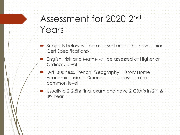## Assessment for 2020 2nd Years

- Subjects below will be assessed under the new Junior Cert Specifications-
- English, Irish and Maths- will be assessed at Higher or Ordinary level
	- Art, Business, French, Geography, History Home Economics, Music, Science – all assessed at a common level
- Usually a 2-2.5hr final exam and have 2 CBA's in 2<sup>nd</sup> & 3 rd Year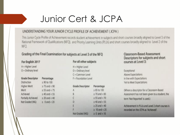### Junior Cert & JCPA

#### UNDERSTANDING YOUR JUNIOR CYCLE PROFILE OF ACHIEVEMENT (JCPA)

This Junior Cycle Profile of Achievement records student achievement in subjects and short courses broadly aligned to Level 3 of the National Framework of Qualifications (NFQ), and Priority Learning Units (PLUs) and short courses broadly aligned to Level 2 of the NFO.

 $\geq 0$  and  $\lt 10$ 

#### Grading of the Final Examination for subjects at Level 3 of the NFQ

| For English 2017        |                      | For all other subjects  |                      |  |
|-------------------------|----------------------|-------------------------|----------------------|--|
| H = Higher Level        |                      | $H = H$ igher Level     |                      |  |
| O = Ordinary level      |                      | $O = Ordinary level$    |                      |  |
|                         |                      | C = Common Level        |                      |  |
| <b>Grade Descriptor</b> | Percentage           | F = Foundation Level    |                      |  |
| <b>Distinction</b>      | $\geq 90$ to 100     |                         |                      |  |
| Higher Merit            | $\geq 75$ and $< 90$ | <b>Grade Descriptor</b> | Percentage           |  |
| Merit                   | $\geq$ 55 and $<$ 75 | ٨                       | $\geq 85$ to 100     |  |
| Achleved                | $\geq 40$ and $< 55$ | B                       | $\geq 70$ and $< 85$ |  |
| Partially Achieved      | $\geq 20$ and $< 40$ | С                       | $\geq 55$ and $<$ 70 |  |
| Not Graded (NG)         | $\geq 0$ and < 20    | D                       | $\geq 40$ and $< 55$ |  |
|                         |                      | Ë                       | $\geq$ 25 and $<$ 40 |  |
|                         |                      | R                       | $\geq 10$ and $< 25$ |  |

Not Graded (NG)

#### **Classroom-Based Assessment** Descriptors for subjects and short courses at Level 3:

| xceptional               |  |  |  |  |  |
|--------------------------|--|--|--|--|--|
| Above Expectations       |  |  |  |  |  |
| n line with Expectations |  |  |  |  |  |
| et to Meet Expectations  |  |  |  |  |  |

(Where a descriptor for a Classroom-Based Assessment has not been given to a student, the term 'Not Reported' is used.)

Achievement in PLUs and Level 2 short courses is recorded on the JCPA as 'Achieved'.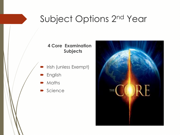### Subject Options 2nd Year

#### **4 Core Examination Subjects**

- Irish (unless Exempt)
- **English**
- **Maths**
- Science

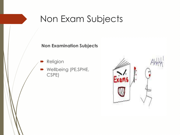#### Non Exam Subjects

#### **Non Examination Subjects**

- Religion
- Wellbeing (PE,SPHE, CSPE)

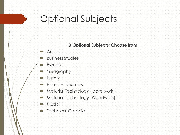#### Optional Subjects

#### **3 Optional Subjects: Choose from**

- **Art**
- **Business Studies**
- **P** French
- Geography
- **History**
- **Home Economics**
- **Material Technology (Metalwork)**
- **Material Technology (Woodwork)**
- **Music**
- **Technical Graphics**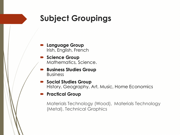#### **Subject Groupings**

- **Language Group** Irish, English, French
- **Science Group** Mathematics, Science.
- **Business Studies Group** Business
- **Social Studies Group** History, Geography, Art, Music, Home Economics
- **Practical Group**

Materials Technology (Wood), Materials Technology (Metal), Technical Graphics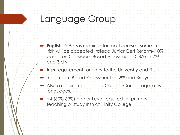#### Language Group

- **English:** A Pass is required for most courses; sometimes Irish will be accepted instead Junior Cert Reform- 10% based on Classroom Based Assessment (CBA) in 2nd and 3rd yr
- **Irish**-requirement for entry to the University and IT's
- Classroom Based Assessment in 2nd and 3rd yr
- Also a requirement for the Cadets. Gardai require two languages.
- H4 (60%-69%) Higher Level required for primary teaching or study Irish at Trinity College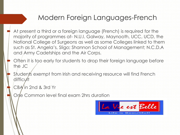#### Modern Foreign Languages-French

- At present a third or a foreign language (French) is required for the majority of programmes at- N.U.I. Galway, Maynooth, UCC, UCD, the National College of Surgeons as well as some Colleges linked to them such as St. Angela's, Sligo; Shannon School of Management; N.C.D.A and Army Cadetships and the Air Corps.
- Often it is too early for students to drop their foreign language before the JC
- Students exempt from Irish and receiving resource will find French difficult

#### CBA in 2nd & 3rd Yr

One Common level final exam 2hrs duration

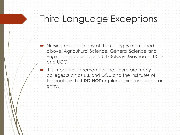## Third Language Exceptions

- Nursing courses in any of the Colleges mentioned above, Agricultural Science, General Science and Engineering courses at N.U.I Galway ,Maynooth, UCD and UCC.
- It is important to remember that there are many colleges such as U.L and DCU and the Institutes of Technology that **DO NOT require** a third language for entry.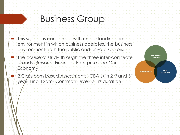### Business Group

- This subject is concerned with understanding the environment in which business operates, the business environment both the public and private sectors.
- The course of study through the three inter-connecte strands: Personal Finance , Enterprise and Our Economy .
- 2 Classroom based Assessments (CBA's) in 2<sup>nd</sup> and 3<sup>rd</sup> yegr. Final Exam- Common Level- 2 Hrs duration

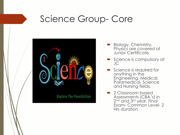#### Science Group- Core



- Biology, Chemistry, Physics are covered at Junior Certificate.
- Science is compulsory at JC
- Science is required for anything in the Engineering, Medical, Paramedical, Science and Nursing fields.
- 2 Classroom based Assessments (CBA's) in 2 nd and 3rd year. Final Exam- Common Level- 2 Hrs duration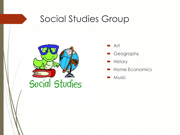#### Social Studies Group



- **Art**
- Geography
- **History**
- Home Economics
- Music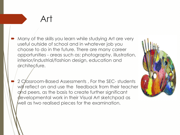#### Art

 Many of the skills you learn while studying Art are very useful outside of school and in whatever job you choose to do in the future. There are many career opportunities - areas such as: photography, illustration, interior/industrial/fashion design, education and architecture.

2 Classroom-Based Assessments, For the SEC- students will reflect on and use the feedback from their teacher and peers, as the basis to create further significant developmental work in their Visual Art sketchpad as well as two realised pieces for the examination.

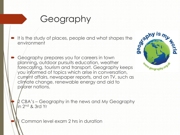## Geography

- It is the study of places, people and what shapes the environment environment
- Geography prepares you for careers in town planning, outdoor pursuits education, weather forecasting, tourism and transport. Geography keeps you informed of topics which arise in conversation, current affairs, newspaper reports, and on TV, such as climate change, renewable energy and aid to poorer nations.



CBA's – Geography in the news and My Geography in 2nd & 3rd Yr

Common level exam 2 hrs in duration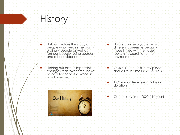#### **History**

- History involves the study of people who lived in the past ordinary people as well as famous people- using sources and other evidence.
- **Finding out about important** changes that, over time, have helped to shape the world in which we live.
	- **Our History**
- History can help you in may different careers, especially those linked with heritage, tourism, research and the environment.
- $\blacktriangleright$  2 CBA's The Past in my place: and A life in Time in 2nd & 3rd Yr
- 1 Common level exam 2 hrs in duration
- Compulsory from 2020 ( 1st year)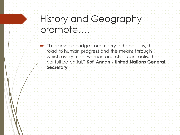### History and Geography promote….

 "Literacy is a bridge from misery to hope. It is, the road to human progress and the means through which every man, woman and child can realise his or her full potential." **Kofi Annan - United Nations General Secretary**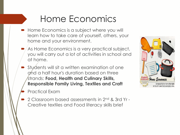#### Home Economics

- **Home Economics is a subject where you will** learn how to take care of yourself, others, your home and your environment.
- $\blacktriangleright$  As Home Economics is a very practical subject, you will carry out a lot of activities in school and at home.
- Students will sit a written examination of one and a half hour's duration based on three strands: **Food, Health and Culinary Skills, Responsible Family Living, Textiles and Craft**



- Practical Exam
- 2 Classroom based assessments in 2nd & 3rd Yr Creative textiles and Food literacy skills brief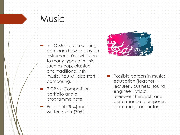#### **Music**

- **In JC Music, you will sing** and learn how to play an instrument. You will listen to many types of music such as pop, classical and traditional Irish music. You will also start composing.
- 2 CBAs- Composition portfolio and a programme note
- **Practical (30%) and** written exam(70%)



**Possible careers in music:** education (teacher, lecturer), business (sound engineer, lyricist, reviewer, therapist) and performance (composer, performer, conductor).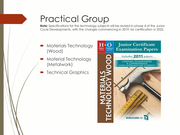## Practical Group

**Note:** Specifications for the technology subjects will be revised in phase 4 of the Junior Cycle Developments, with the changes commencing in 2019, for certification in 2022.

- Materials Technology (Wood)
- Material Technology (Metalwork)
- Technical Graphics

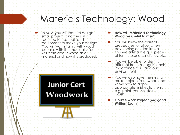## Materials Technology: Wood

 In MTW you will learn to design small projects and the skills required to use tools and equipment to make your designs. You will work mainly with wood but also with the materials. You will learn about wood as a material and how it is produced.

#### **Junior Cert** Woodwork

- **How will Materials Technology Wood be useful to me?**
- You will know the correct procedures to follow when developing an idea into a finished artefact e.g. a piece of furniture or a child's toy etc.
- **•** You will be able to identify different trees, recognise their importance to us and our environment
- **••••** You will also have the skills to make objects from wood and know how to apply appropriate finishes to them, e.g. paint, varnish, stain or polish.
- **Course work Project (66%)and Written Exam**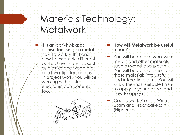#### Materials Technology: **Metalwork**

 It is an activity-based course focusing on metal, how to work with it and how to assemble different parts. Other materials such as plastics and wood are also Investigated and used in project work. You will be working with basic electronic components too.



#### **How will Metalwork be useful to me?**

- **You will be able to work with** metals and other materials such as wood and plastic. You will be able to assemble these materials into useful and interesting items. You will know the most suitable finish to apply to your project and how to apply it.
- **Course work Project, Written** Exam and Practical exam (Higher level)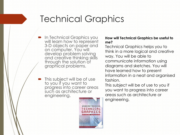### Technical Graphics

- **In Technical Graphics you** will learn how to represent 3-D objects on paper and on computer. You will develop problem solving and creative thinking skills through the solution of graphical problems.
	- This subject will be of use to you if you want to progress into career areas such as architecture or engineering.



#### **How will Technical Graphics be useful to me?**

Technical Graphics helps you to think in a more logical and creative way. You will be able to communicate information using diagrams and sketches. You will have learned how to present information in a neat and organised fashion.

This subject will be of use to you if you want to progress into career areas such as architecture or engineering.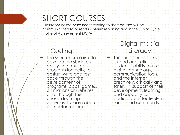#### SHORT COURSES-

Classroom-Based Assessment relating to short courses will be communicated to parents in interim reporting and in the Junior Cycle Profile of Achievement (JCPA)

#### **Coding**

 The short course aims to develop the student's ability to formulate problems logically; to design, write and test code through the development of programs, apps, games, animations or websites; and, through their chosen learning activities, to learn about computer science.

Digital media **Literacy** 

**This short course aims to** extend and refine students' ability to use digital technology, communication tools, and the internet creatively, critically and safely, in support of their development, learning and capacity to participate effectively in social and community life.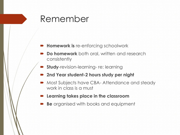#### Remember

#### **Homework is** re-enforcing schoolwork

- **Do homework** both oral, written and research consistently
- **Study-revision-learning- re: learning**
- **2nd Year student-2 hours study per night**
- Most Subjects have CBA- Attendance and steady work in class is a must
- **Learning takes place in the classroom**
- **Be** organised with books and equipment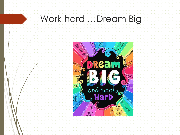#### Work hard …Dream Big

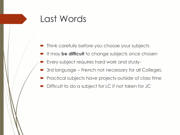#### Last Words

- Think carefully before you choose your subjects
- It may **be difficult** to change subjects once chosen
- Every subject requires hard work and study-
- 3rd language French not necessary for all Colleges.
- Practical subjects have projects-outside of class time
- Difficult to do a subject for LC if not taken for JC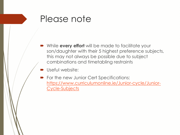#### Please note

- While **every effort** will be made to facilitate your son/daughter with their 5 highest preference subjects, this may not always be possible due to subject combinations and timetabling restraints
- Useful website:
- **•** For the new Junior Cert Specifications: [https://www.curriculumonline.ie/Junior-cycle/Junior-](https://www.curriculumonline.ie/Junior-cycle/Junior-Cycle-Subjects)Cycle-Subjects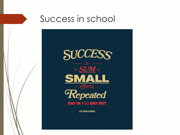

# Success in school